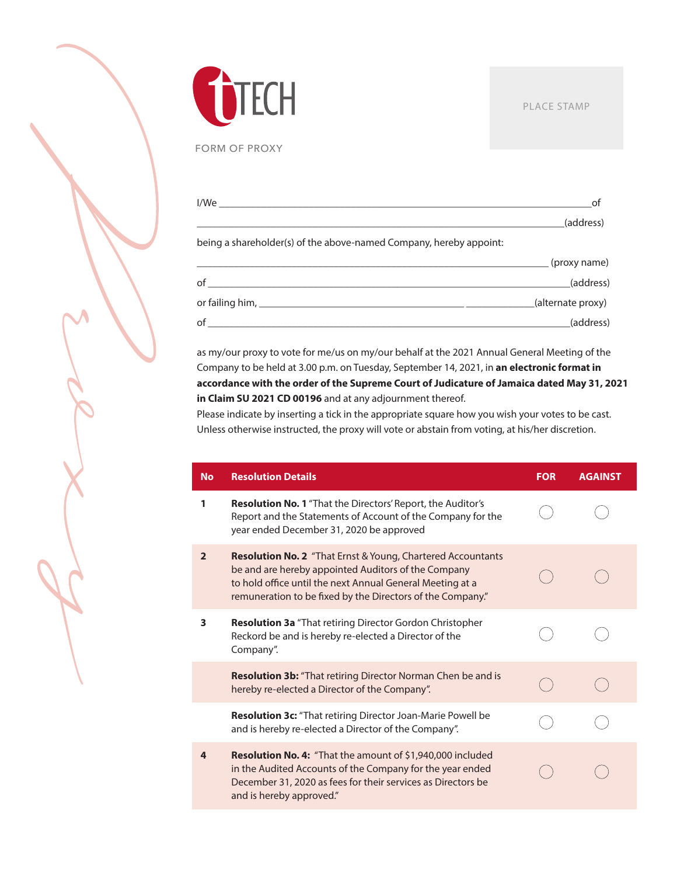

FORM OF PROXY

|                                                                    | of                |
|--------------------------------------------------------------------|-------------------|
|                                                                    | (address)         |
| being a shareholder(s) of the above-named Company, hereby appoint: |                   |
|                                                                    | (proxy name)      |
|                                                                    | (address)         |
|                                                                    | (alternate proxy) |
| of                                                                 | (address)         |

as my/our proxy to vote for me/us on my/our behalf at the 2021 Annual General Meeting of the Company to be held at 3.00 p.m. on Tuesday, September 14, 2021, in **an electronic format in accordance with the order of the Supreme Court of Judicature of Jamaica dated May 31, 2021 in Claim SU 2021 CD 00196** and at any adjournment thereof.

Please indicate by inserting a tick in the appropriate square how you wish your votes to be cast. Unless otherwise instructed, the proxy will vote or abstain from voting, at his/her discretion.

| <b>No</b>      | <b>Resolution Details</b>                                                                                                                                                                                                                            | <b>FOR</b> | <b>AGAINST</b> |
|----------------|------------------------------------------------------------------------------------------------------------------------------------------------------------------------------------------------------------------------------------------------------|------------|----------------|
| 1              | <b>Resolution No. 1</b> "That the Directors' Report, the Auditor's<br>Report and the Statements of Account of the Company for the<br>year ended December 31, 2020 be approved                                                                        |            |                |
| $\overline{2}$ | <b>Resolution No. 2</b> "That Ernst & Young, Chartered Accountants<br>be and are hereby appointed Auditors of the Company<br>to hold office until the next Annual General Meeting at a<br>remuneration to be fixed by the Directors of the Company." |            |                |
| 3              | <b>Resolution 3a</b> "That retiring Director Gordon Christopher<br>Reckord be and is hereby re-elected a Director of the<br>Company".                                                                                                                |            |                |
|                | Resolution 3b: "That retiring Director Norman Chen be and is<br>hereby re-elected a Director of the Company".                                                                                                                                        |            |                |
|                | Resolution 3c: "That retiring Director Joan-Marie Powell be<br>and is hereby re-elected a Director of the Company".                                                                                                                                  |            |                |
| $\overline{a}$ | <b>Resolution No. 4:</b> "That the amount of \$1,940,000 included<br>in the Audited Accounts of the Company for the year ended<br>December 31, 2020 as fees for their services as Directors be<br>and is hereby approved."                           |            |                |